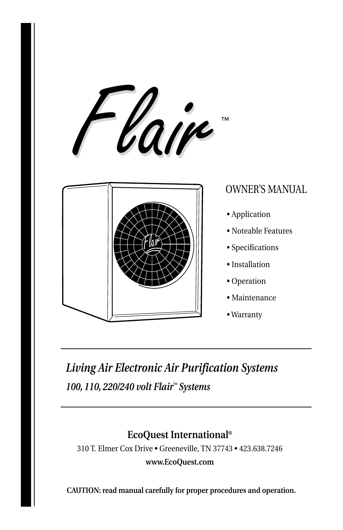



# OWNER'S MANUAL

- Application
- Noteable Features
- Specifications
- Installation
- Operation
- Maintenance
- Warranty

# *Living Air Electronic Air Purification Systems 100, 110, 220/240 volt Flair*™ *Systems*

# **EcoQuest International®**

310 T. Elmer Cox Drive • Greeneville, TN 37743 • 423.638.7246

#### **www.EcoQuest.com**

**CAUTION: read manual carefully for proper procedures and operation.**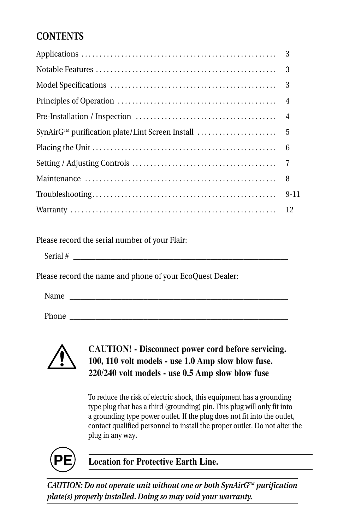# **CONTENTS**

Please record the serial number of your Flair:

Please record the name and phone of your EcoQuest Dealer:

Name

Phone \_\_\_\_\_\_\_\_\_\_\_\_\_\_\_\_\_\_\_\_\_\_\_\_\_\_\_\_\_\_\_\_\_\_\_\_\_\_\_\_\_\_\_\_\_\_\_\_\_\_\_\_\_\_\_\_\_\_\_



### **CAUTION! - Disconnect power cord before servicing. 100, 110 volt models - use 1.0 Amp slow blow fuse. 220/240 volt models - use 0.5 Amp slow blow fuse**

To reduce the risk of electric shock, this equipment has a grounding type plug that has a third (grounding) pin. This plug will only fit into a grounding type power outlet. If the plug does not fit into the outlet, contact qualified personnel to install the proper outlet. Do not alter the plug in any way**.**



**Location for Protective Earth Line.** 

*CAUTION: Do not operate unit without one or both SynAirGTM purification plate(s) properly installed. Doing so may void your warranty.*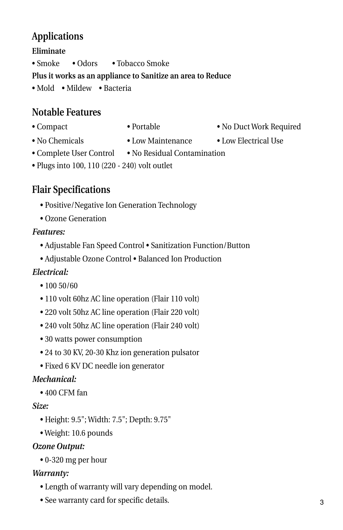# **Applications**

### **Eliminate**

• Smoke • Odors • Tobacco Smoke

### **Plus it works as an appliance to Sanitize an area to Reduce**

• Mold • Mildew • Bacteria

# **Notable Features**

- 
- 
- 
- Compact Portable No Duct Work Required
- No Chemicals Low Maintenance Low Electrical Use
- 
- 
- Complete User Control No Residual Contamination
- Plugs into 100, 110 (220 240) volt outlet

# **Flair Specifications**

- Positive/Negative Ion Generation Technology
- Ozone Generation

### *Features:*

- Adjustable Fan Speed Control Sanitization Function/Button
- Adjustable Ozone Control Balanced Ion Production

# *Electrical:*

- 100 50/60
- 110 volt 60hz AC line operation (Flair 110 volt)
- 220 volt 50hz AC line operation (Flair 220 volt)
- 240 volt 50hz AC line operation (Flair 240 volt)
- 30 watts power consumption
- 24 to 30 KV, 20-30 Khz ion generation pulsator
- Fixed 6 KV DC needle ion generator

# *Mechanical:*

• 400 CFM fan

### *Size:*

- Height: 9.5"; Width: 7.5"; Depth: 9.75"
- Weight: 10.6 pounds

### *Ozone Output:*

• 0-320 mg per hour

### *Warranty:*

- Length of warranty will vary depending on model.
- See warranty card for specific details.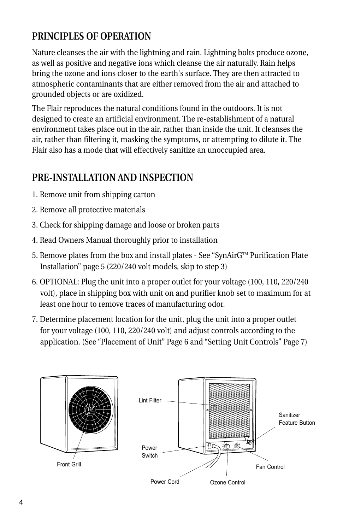# **PRINCIPLES OF OPERATION**

Nature cleanses the air with the lightning and rain. Lightning bolts produce ozone, as well as positive and negative ions which cleanse the air naturally. Rain helps bring the ozone and ions closer to the earth's surface. They are then attracted to atmospheric contaminants that are either removed from the air and attached to grounded objects or are oxidized.

The Flair reproduces the natural conditions found in the outdoors. It is not designed to create an artificial environment. The re-establishment of a natural environment takes place out in the air, rather than inside the unit. It cleanses the air, rather than filtering it, masking the symptoms, or attempting to dilute it. The Flair also has a mode that will effectively sanitize an unoccupied area.

# **PRE-INSTALLATION AND INSPECTION**

- 1. Remove unit from shipping carton
- 2. Remove all protective materials
- 3. Check for shipping damage and loose or broken parts
- 4. Read Owners Manual thoroughly prior to installation
- 5. Remove plates from the box and install plates See "SynAirG™ Purification Plate Installation" page 5 (220/240 volt models, skip to step 3)
- 6. OPTIONAL: Plug the unit into a proper outlet for your voltage (100, 110, 220/240 volt), place in shipping box with unit on and purifier knob set to maximum for at least one hour to remove traces of manufacturing odor.
- 7. Determine placement location for the unit, plug the unit into a proper outlet for your voltage (100, 110, 220/240 volt) and adjust controls according to the application. (See "Placement of Unit" Page 6 and "Setting Unit Controls" Page 7)



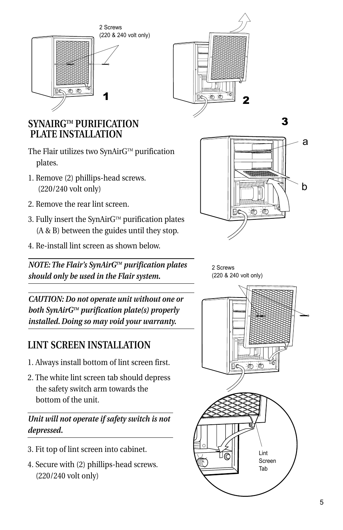2 Screws





# **SYNAIRGTM PURIFICATION PLATE INSTALLATION**

- The Flair utilizes two SynAir $G^{TM}$  purification plates.
- 1. Remove (2) phillips-head screws. (220/240 volt only)
- 2. Remove the rear lint screen.
- 3. Fully insert the SynAir $G^{TM}$  purification plates (A & B) between the guides until they stop.
- 4. Re-install lint screen as shown below.

*NOTE: The Flair's SynAirGTM purification plates should only be used in the Flair system.*



3

2 Screws (220 & 240 volt only)

*CAUTION: Do not operate unit without one or both SynAirGTM purification plate(s) properly installed. Doing so may void your warranty.*

# **LINT SCREEN INSTALLATION**

- 1. Always install bottom of lint screen first.
- 2. The white lint screen tab should depress the safety switch arm towards the bottom of the unit.

*Unit will not operate if safety switch is not depressed.*

- 3. Fit top of lint screen into cabinet.
- 4. Secure with (2) phillips-head screws. (220/240 volt only)

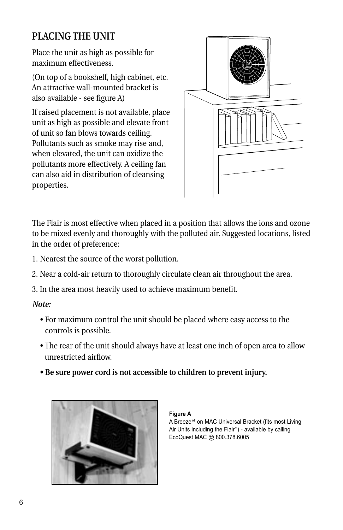# **PLACING THE UNIT**

Place the unit as high as possible for maximum effectiveness.

(On top of a bookshelf, high cabinet, etc. An attractive wall-mounted bracket is also available - see figure A)

If raised placement is not available, place unit as high as possible and elevate front of unit so fan blows towards ceiling. Pollutants such as smoke may rise and, when elevated, the unit can oxidize the pollutants more effectively. A ceiling fan can also aid in distribution of cleansing properties.

![](_page_5_Picture_4.jpeg)

The Flair is most effective when placed in a position that allows the ions and ozone to be mixed evenly and thoroughly with the polluted air. Suggested locations, listed in the order of preference:

- 1. Nearest the source of the worst pollution.
- 2. Near a cold-air return to thoroughly circulate clean air throughout the area.
- 3. In the area most heavily used to achieve maximum benefit.

#### *Note:*

- For maximum control the unit should be placed where easy access to the controls is possible.
- The rear of the unit should always have at least one inch of open area to allow unrestricted airflow.
- **Be sure power cord is not accessible to children to prevent injury.**

![](_page_5_Picture_13.jpeg)

#### **Figure A**

A Breeze<sup>AT</sup> on MAC Universal Bracket (fits most Living Air Units including the Flair™) - available by calling EcoQuest MAC @ 800.378.6005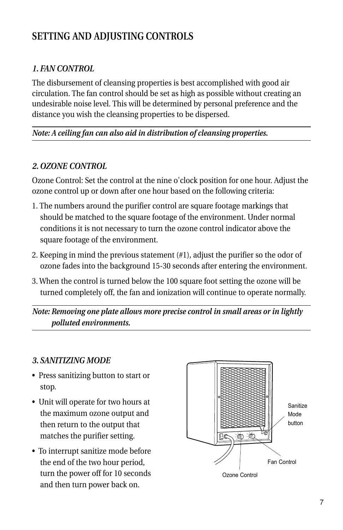# **SETTING AND ADJUSTING CONTROLS**

### *1. FAN CONTROL*

The disbursement of cleansing properties is best accomplished with good air circulation. The fan control should be set as high as possible without creating an undesirable noise level. This will be determined by personal preference and the distance you wish the cleansing properties to be dispersed.

#### *Note: A ceiling fan can also aid in distribution of cleansing properties.*

#### *2. OZONE CONTROL*

Ozone Control: Set the control at the nine o'clock position for one hour. Adjust the ozone control up or down after one hour based on the following criteria:

- 1. The numbers around the purifier control are square footage markings that should be matched to the square footage of the environment. Under normal conditions it is not necessary to turn the ozone control indicator above the square footage of the environment.
- 2. Keeping in mind the previous statement (#1), adjust the purifier so the odor of ozone fades into the background 15-30 seconds after entering the environment.
- 3. When the control is turned below the 100 square foot setting the ozone will be turned completely off, the fan and ionization will continue to operate normally.

*Note: Removing one plate allows more precise control in small areas or in lightly polluted environments.*

#### *3. SANITIZING MODE*

- Press sanitizing button to start or stop.
- Unit will operate for two hours at the maximum ozone output and then return to the output that matches the purifier setting.
- To interrupt sanitize mode before the end of the two hour period, turn the power off for 10 seconds and then turn power back on.

![](_page_6_Figure_14.jpeg)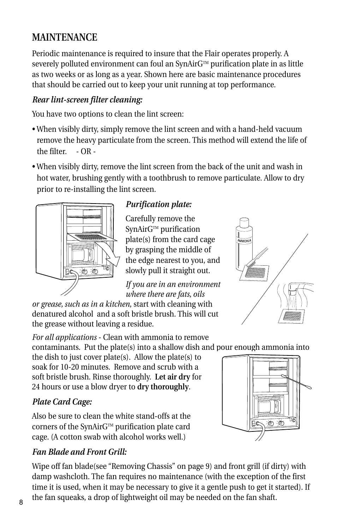# **MAINTENANCE**

Periodic maintenance is required to insure that the Flair operates properly. A severely polluted environment can foul an SynAirG™ purification plate in as little as two weeks or as long as a year. Shown here are basic maintenance procedures that should be carried out to keep your unit running at top performance.

### *Rear lint-screen filter cleaning:*

You have two options to clean the lint screen:

- When visibly dirty, simply remove the lint screen and with a hand-held vacuum remove the heavy particulate from the screen. This method will extend the life of the filter. - OR -
- When visibly dirty, remove the lint screen from the back of the unit and wash in hot water, brushing gently with a toothbrush to remove particulate. Allow to dry prior to re-installing the lint screen.

![](_page_7_Figure_6.jpeg)

### *Purification plate:*

Carefully remove the SynAirG™ purification plate(s) from the card cage by grasping the middle of the edge nearest to you, and slowly pull it straight out.

*If you are in an environment where there are fats, oils* 

*or grease, such as in a kitchen*, start with cleaning with denatured alcohol and a soft bristle brush. This will cut the grease without leaving a residue.

*For all applications* - Clean with ammonia to remove contaminants. Put the plate(s) into a shallow dish and pour enough ammonia into

the dish to just cover plate(s). Allow the plate(s) to soak for 10-20 minutes. Remove and scrub with a soft bristle brush. Rinse thoroughly. **Let air dry** for 24 hours or use a blow dryer to **dry thoroughly**.

### *Plate Card Cage:*

Also be sure to clean the white stand-offs at the corners of the SynAirG™ purification plate card cage. (A cotton swab with alcohol works well.)

### *Fan Blade and Front Grill:*

Wipe off fan blade(see "Removing Chassis" on page 9) and front grill (if dirty) with damp washcloth. The fan requires no maintenance (with the exception of the first time it is used, when it may be necessary to give it a gentle push to get it started). If a the fan squeaks, a drop of lightweight oil may be needed on the fan shaft.

![](_page_7_Picture_17.jpeg)

![](_page_7_Picture_18.jpeg)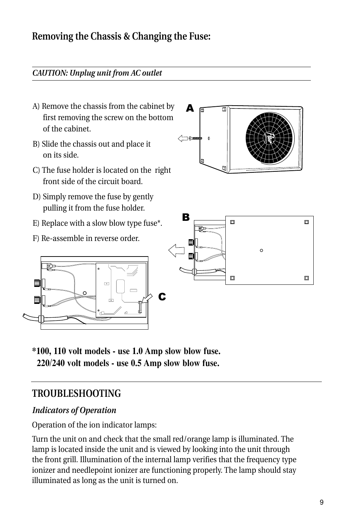# **Removing the Chassis & Changing the Fuse:**

#### *CAUTION: Unplug unit from AC outlet*

- A) Remove the chassis from the cabinet by first removing the screw on the bottom of the cabinet.
- B) Slide the chassis out and place it on its side.
- C) The fuse holder is located on the right front side of the circuit board.
- D) Simply remove the fuse by gently pulling it from the fuse holder.
- E) Replace with a slow blow type fuse\*.

 $\sqrt{2}$ 

F) Re-assemble in reverse order.

 $\Omega$ 

巵

≡

![](_page_8_Figure_8.jpeg)

![](_page_8_Figure_9.jpeg)

**\*100, 110 volt models - use 1.0 Amp slow blow fuse. 220/240 volt models - use 0.5 Amp slow blow fuse.**

### **TROUBLESHOOTING**

### *Indicators of Operation*

Operation of the ion indicator lamps:

Turn the unit on and check that the small red/orange lamp is illuminated. The lamp is located inside the unit and is viewed by looking into the unit through the front grill. Illumination of the internal lamp verifies that the frequency type ionizer and needlepoint ionizer are functioning properly. The lamp should stay illuminated as long as the unit is turned on.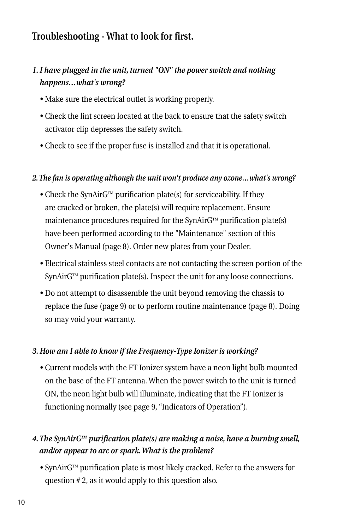# **Troubleshooting - What to look for first.**

### *1. I have plugged in the unit, turned "ON" the power switch and nothing happens…what's wrong?*

- Make sure the electrical outlet is working properly.
- Check the lint screen located at the back to ensure that the safety switch activator clip depresses the safety switch.
- Check to see if the proper fuse is installed and that it is operational.

#### *2. The fan is operating although the unit won't produce any ozone…what's wrong?*

- Check the SynAirG<sup>TM</sup> purification plate(s) for serviceability. If they are cracked or broken, the plate(s) will require replacement. Ensure maintenance procedures required for the SynAir $G^{TM}$  purification plate(s) have been performed according to the "Maintenance" section of this Owner's Manual (page 8). Order new plates from your Dealer.
- Electrical stainless steel contacts are not contacting the screen portion of the  $SymAirG<sup>TM</sup>$  purification plate(s). Inspect the unit for any loose connections.
- Do not attempt to disassemble the unit beyond removing the chassis to replace the fuse (page 9) or to perform routine maintenance (page 8). Doing so may void your warranty.

#### *3. How am I able to know if the Frequency-Type Ionizer is working?*

 • Current models with the FT Ionizer system have a neon light bulb mounted on the base of the FT antenna. When the power switch to the unit is turned ON, the neon light bulb will illuminate, indicating that the FT Ionizer is functioning normally (see page 9, "Indicators of Operation").

#### *4. The SynAirGTM purification plate(s) are making a noise, have a burning smell, and/or appear to arc or spark. What is the problem?*

• SynAir $G^{\text{m}}$  purification plate is most likely cracked. Refer to the answers for question # 2, as it would apply to this question also.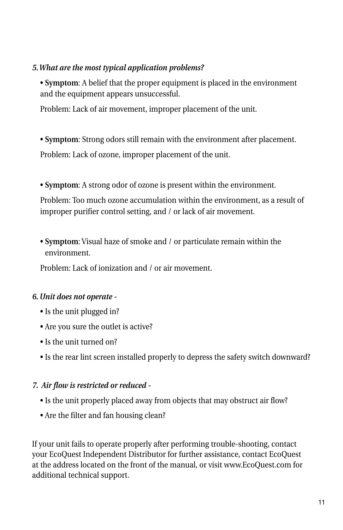#### *5. What are the most typical application problems?*

 • **Symptom**: A belief that the proper equipment is placed in the environment and the equipment appears unsuccessful.

Problem: Lack of air movement, improper placement of the unit.

 • **Symptom**: Strong odors still remain with the environment after placement. Problem: Lack of ozone, improper placement of the unit.

• **Symptom**: A strong odor of ozone is present within the environment.

 Problem: Too much ozone accumulation within the environment, as a result of improper purifier control setting, and / or lack of air movement.

 • **Symptom**: Visual haze of smoke and / or particulate remain within the environment.

Problem: Lack of ionization and / or air movement.

### *6. Unit does not operate -*

- Is the unit plugged in?
- Are you sure the outlet is active?
- Is the unit turned on?
- Is the rear lint screen installed properly to depress the safety switch downward?

#### *7. Air flow is restricted or reduced -*

- Is the unit properly placed away from objects that may obstruct air flow?
- Are the filter and fan housing clean?

If your unit fails to operate properly after performing trouble-shooting, contact your EcoQuest Independent Distributor for further assistance, contact EcoQuest at the address located on the front of the manual, or visit www.EcoQuest.com for additional technical support.